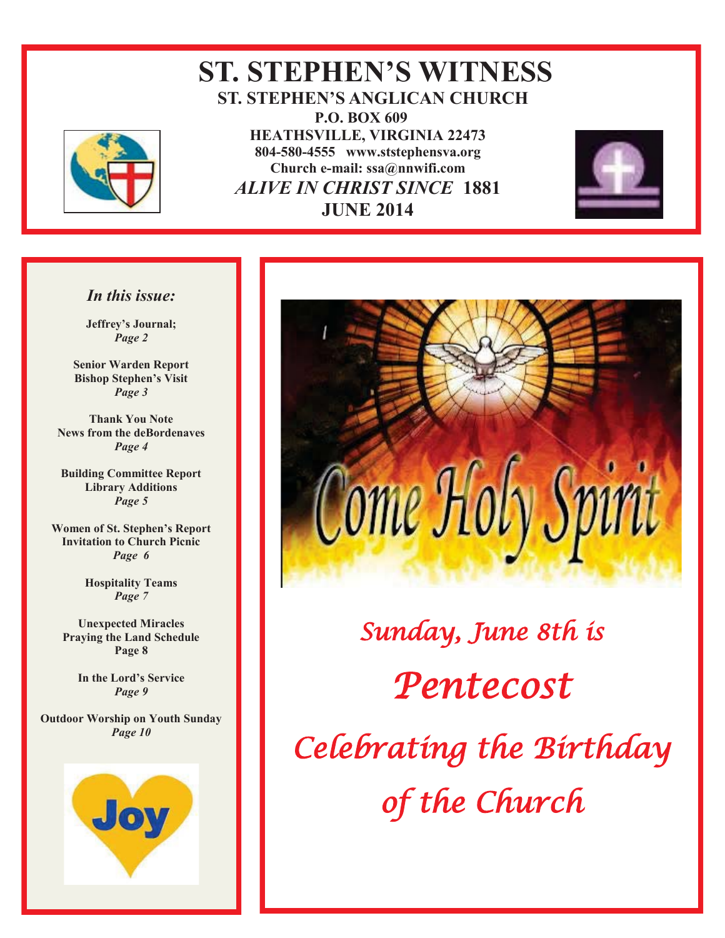

### **ST. STEPHEN'S WITNESS ST. STEPHEN'S ANGLICAN CHURCH P.O. BOX 609 HEATHSVILLE, VIRGINIA 22473 804-580-4555 www.ststephensva.org Church e-mail: ssa@nnwifi.com**   *ALIVE IN CHRIST SINCE* **1881 JUNE 2014**



#### *In this issue:*

**Jeffrey's Journal;** *Page 2* 

**Senior Warden Report Bishop Stephen's Visit** *Page 3* 

**Thank You Note News from the deBordenaves**  *Page 4* 

**Building Committee Report Library Additions**  *Page 5* 

**Women of St. Stephen's Report Invitation to Church Picnic**  *Page 6* 

> **Hospitality Teams**  *Page 7*

**Unexpected Miracles Praying the Land Schedule Page 8** 

> **In the Lord's Service** *Page 9*

**Outdoor Worship on Youth Sunday**  *Page 10* 





# Sunday, June 8th is Pentecost Celebrating the Birthday of the Church

I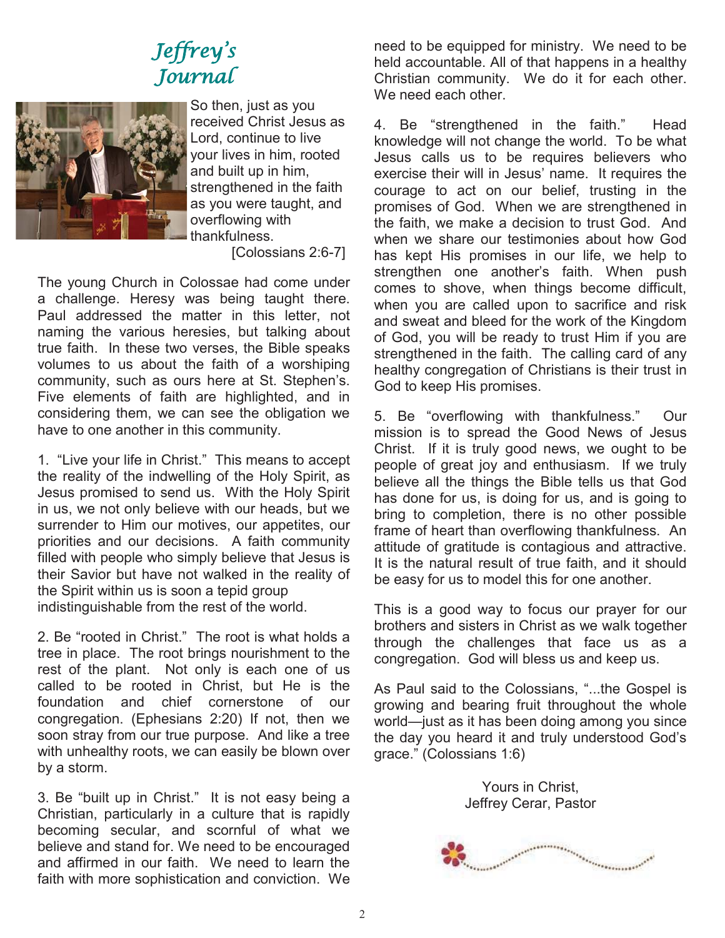# Jeffrey ' s Journal



So then, just as you received Christ Jesus as Lord, continue to live your lives in him, rooted and built up in him, strengthened in the faith as you were taught, and overflowing with thankfulness. [Colossians 2:6-7]

The young Church in Colossae had come under a challenge. Heresy was being taught there. Paul addressed the matter in this letter, not naming the various heresies, but talking about true faith. In these two verses, the Bible speaks volumes to us about the faith of a worshiping community, such as ours here at St. Stephen's. Five elements of faith are highlighted, and in considering them, we can see the obligation we have to one another in this community.

1. "Live your life in Christ." This means to accept the reality of the indwelling of the Holy Spirit, as Jesus promised to send us. With the Holy Spirit in us, we not only believe with our heads, but we surrender to Him our motives, our appetites, our priorities and our decisions. A faith community filled with people who simply believe that Jesus is their Savior but have not walked in the reality of the Spirit within us is soon a tepid group indistinguishable from the rest of the world.

2. Be "rooted in Christ." The root is what holds a tree in place. The root brings nourishment to the rest of the plant. Not only is each one of us called to be rooted in Christ, but He is the foundation and chief cornerstone of our congregation. (Ephesians 2:20) If not, then we soon stray from our true purpose. And like a tree with unhealthy roots, we can easily be blown over by a storm.

3. Be "built up in Christ." It is not easy being a Christian, particularly in a culture that is rapidly becoming secular, and scornful of what we believe and stand for. We need to be encouraged and affirmed in our faith. We need to learn the faith with more sophistication and conviction. We

need to be equipped for ministry. We need to be held accountable. All of that happens in a healthy Christian community. We do it for each other. We need each other.

4. Be "strengthened in the faith." Head knowledge will not change the world. To be what Jesus calls us to be requires believers who exercise their will in Jesus' name. It requires the courage to act on our belief, trusting in the promises of God. When we are strengthened in the faith, we make a decision to trust God. And when we share our testimonies about how God has kept His promises in our life, we help to strengthen one another's faith. When push comes to shove, when things become difficult, when you are called upon to sacrifice and risk and sweat and bleed for the work of the Kingdom of God, you will be ready to trust Him if you are strengthened in the faith. The calling card of any healthy congregation of Christians is their trust in God to keep His promises.

5. Be "overflowing with thankfulness." Our mission is to spread the Good News of Jesus Christ. If it is truly good news, we ought to be people of great joy and enthusiasm. If we truly believe all the things the Bible tells us that God has done for us, is doing for us, and is going to bring to completion, there is no other possible frame of heart than overflowing thankfulness. An attitude of gratitude is contagious and attractive. It is the natural result of true faith, and it should be easy for us to model this for one another.

This is a good way to focus our prayer for our brothers and sisters in Christ as we walk together through the challenges that face us as a congregation. God will bless us and keep us.

As Paul said to the Colossians, "...the Gospel is growing and bearing fruit throughout the whole world—just as it has been doing among you since the day you heard it and truly understood God's grace." (Colossians 1:6)

> Yours in Christ, Jeffrey Cerar, Pastor

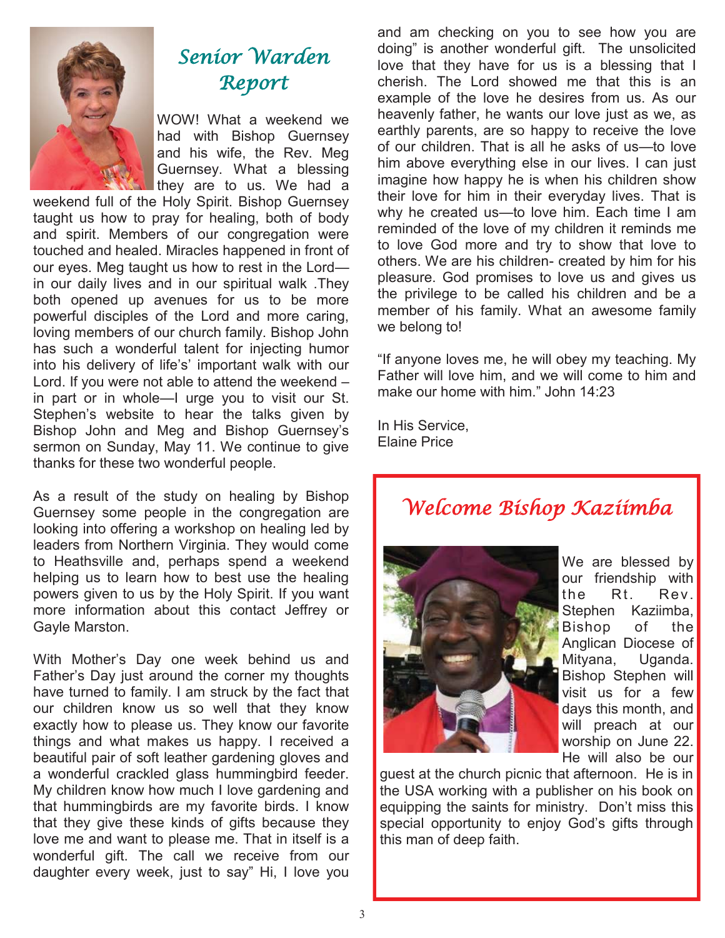

# Senior Warden Report

WOW! What a weekend we had with Bishop Guernsey and his wife, the Rev. Meg Guernsey. What a blessing they are to us. We had a

weekend full of the Holy Spirit. Bishop Guernsey taught us how to pray for healing, both of body and spirit. Members of our congregation were touched and healed. Miracles happened in front of our eyes. Meg taught us how to rest in the Lord in our daily lives and in our spiritual walk .They both opened up avenues for us to be more powerful disciples of the Lord and more caring, loving members of our church family. Bishop John has such a wonderful talent for injecting humor into his delivery of life's' important walk with our Lord. If you were not able to attend the weekend – in part or in whole—I urge you to visit our St. Stephen's website to hear the talks given by Bishop John and Meg and Bishop Guernsey's sermon on Sunday, May 11. We continue to give thanks for these two wonderful people.

As a result of the study on healing by Bishop Guernsey some people in the congregation are looking into offering a workshop on healing led by leaders from Northern Virginia. They would come to Heathsville and, perhaps spend a weekend helping us to learn how to best use the healing powers given to us by the Holy Spirit. If you want more information about this contact Jeffrey or Gayle Marston.

With Mother's Day one week behind us and Father's Day just around the corner my thoughts have turned to family. I am struck by the fact that our children know us so well that they know exactly how to please us. They know our favorite things and what makes us happy. I received a beautiful pair of soft leather gardening gloves and a wonderful crackled glass hummingbird feeder. My children know how much I love gardening and that hummingbirds are my favorite birds. I know that they give these kinds of gifts because they love me and want to please me. That in itself is a wonderful gift. The call we receive from our daughter every week, just to say" Hi, I love you and am checking on you to see how you are doing" is another wonderful gift. The unsolicited love that they have for us is a blessing that I cherish. The Lord showed me that this is an example of the love he desires from us. As our heavenly father, he wants our love just as we, as earthly parents, are so happy to receive the love of our children. That is all he asks of us—to love him above everything else in our lives. I can just imagine how happy he is when his children show their love for him in their everyday lives. That is why he created us—to love him. Each time I am reminded of the love of my children it reminds me to love God more and try to show that love to others. We are his children- created by him for his pleasure. God promises to love us and gives us the privilege to be called his children and be a member of his family. What an awesome family we belong to!

"If anyone loves me, he will obey my teaching. My Father will love him, and we will come to him and make our home with him." John 14:23

In His Service, Elaine Price

Welcome Bishop Kaziimba



We are blessed by our friendship with the Rt. Rev. Stephen Kaziimba, Bishop of the Anglican Diocese of Mityana, Uganda. Bishop Stephen will visit us for a few days this month, and will preach at our worship on June 22. He will also be our

guest at the church picnic that afternoon. He is in the USA working with a publisher on his book on equipping the saints for ministry. Don't miss this special opportunity to enjoy God's gifts through this man of deep faith.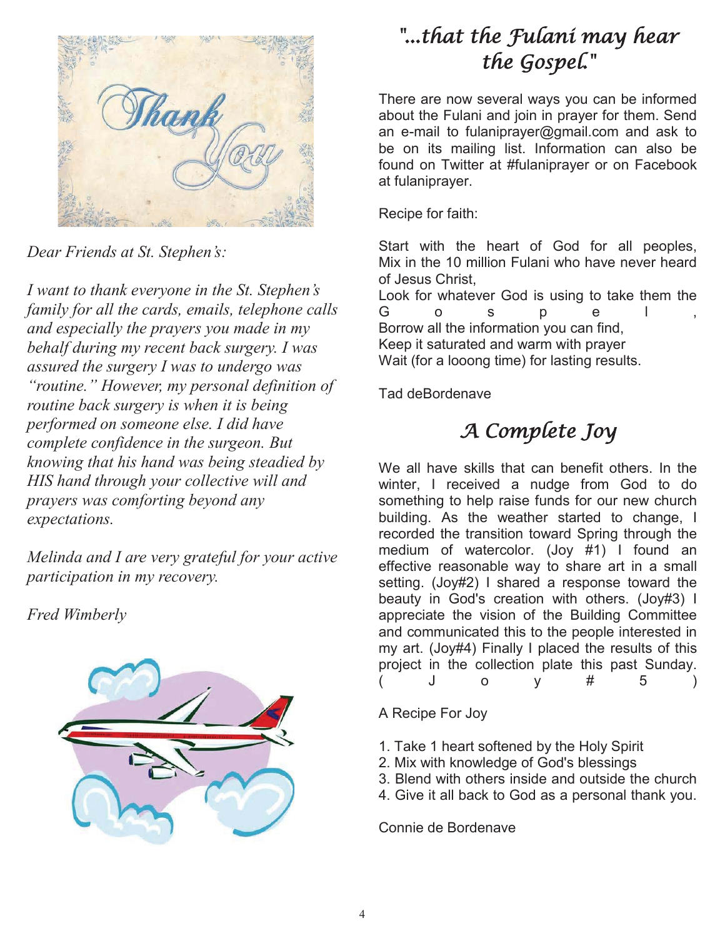

*Dear Friends at St. Stephen's:*

*I want to thank everyone in the St. Stephen's family for all the cards, emails, telephone calls and especially the prayers you made in my behalf during my recent back surgery. I was assured the surgery I was to undergo was "routine." However, my personal definition of routine back surgery is when it is being performed on someone else. I did have complete confidence in the surgeon. But knowing that his hand was being steadied by HIS hand through your collective will and prayers was comforting beyond any expectations.* 

*Melinda and I are very grateful for your active participation in my recovery.* 

*Fred Wimberly* 



# "...that the Fulani may hear the Gospel."

There are now several ways you can be informed about the Fulani and join in prayer for them. Send an e-mail to fulaniprayer@gmail.com and ask to be on its mailing list. Information can also be found on Twitter at #fulaniprayer or on Facebook at fulaniprayer.

Recipe for faith:

Start with the heart of God for all peoples, Mix in the 10 million Fulani who have never heard of Jesus Christ,

Look for whatever God is using to take them the G o s p e l, Borrow all the information you can find, Keep it saturated and warm with prayer Wait (for a looong time) for lasting results.

Tad deBordenave

# A Complete Joy

We all have skills that can benefit others. In the winter, I received a nudge from God to do something to help raise funds for our new church building. As the weather started to change, I recorded the transition toward Spring through the medium of watercolor. (Joy #1) I found an effective reasonable way to share art in a small setting. (Joy#2) I shared a response toward the beauty in God's creation with others. (Joy#3) I appreciate the vision of the Building Committee and communicated this to the people interested in my art. (Joy#4) Finally I placed the results of this project in the collection plate this past Sunday. ( J o y # 5 )

A Recipe For Joy

- 1. Take 1 heart softened by the Holy Spirit
- 2. Mix with knowledge of God's blessings
- 3. Blend with others inside and outside the church
- 4. Give it all back to God as a personal thank you.

Connie de Bordenave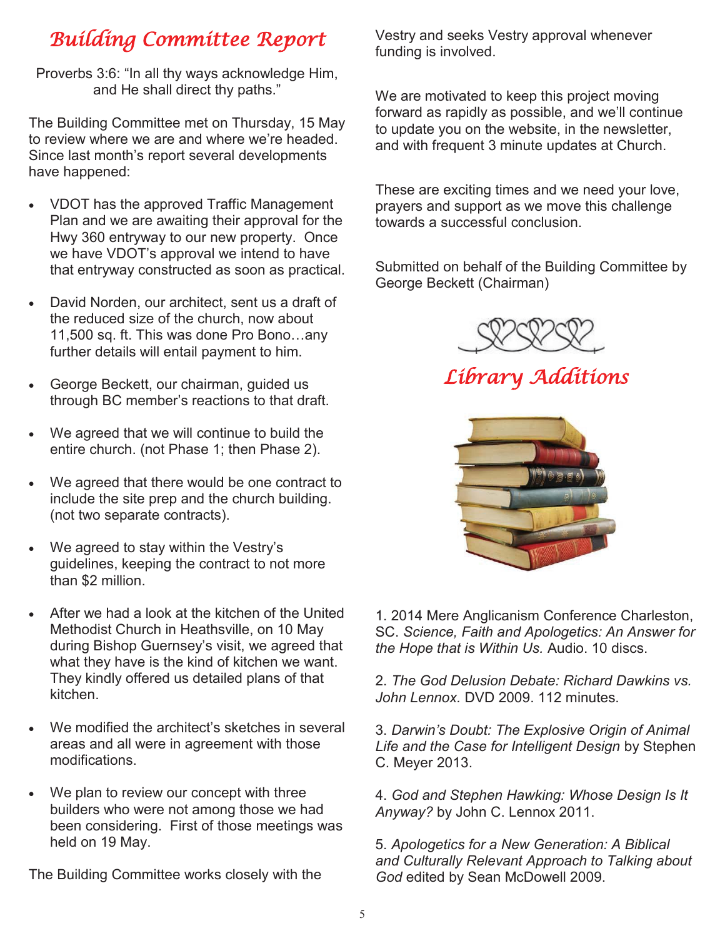## Building Committee Report

Proverbs 3:6: "In all thy ways acknowledge Him, and He shall direct thy paths."

The Building Committee met on Thursday, 15 May to review where we are and where we're headed. Since last month's report several developments have happened:

- VDOT has the approved Traffic Management Plan and we are awaiting their approval for the Hwy 360 entryway to our new property. Once we have VDOT's approval we intend to have that entryway constructed as soon as practical.
- David Norden, our architect, sent us a draft of the reduced size of the church, now about 11,500 sq. ft. This was done Pro Bono…any further details will entail payment to him.
- George Beckett, our chairman, guided us through BC member's reactions to that draft.
- We agreed that we will continue to build the entire church. (not Phase 1; then Phase 2).
- We agreed that there would be one contract to include the site prep and the church building. (not two separate contracts).
- We agreed to stay within the Vestry's guidelines, keeping the contract to not more than \$2 million.
- After we had a look at the kitchen of the United Methodist Church in Heathsville, on 10 May during Bishop Guernsey's visit, we agreed that what they have is the kind of kitchen we want. They kindly offered us detailed plans of that kitchen.
- We modified the architect's sketches in several areas and all were in agreement with those modifications.
- We plan to review our concept with three builders who were not among those we had been considering. First of those meetings was held on 19 May.

The Building Committee works closely with the

Vestry and seeks Vestry approval whenever funding is involved.

We are motivated to keep this project moving forward as rapidly as possible, and we'll continue to update you on the website, in the newsletter, and with frequent 3 minute updates at Church.

These are exciting times and we need your love, prayers and support as we move this challenge towards a successful conclusion.

Submitted on behalf of the Building Committee by George Beckett (Chairman)



Library Additions



1. 2014 Mere Anglicanism Conference Charleston, SC. *Science, Faith and Apologetics: An Answer for the Hope that is Within Us.* Audio. 10 discs.

2. *The God Delusion Debate: Richard Dawkins vs. John Lennox.* DVD 2009. 112 minutes.

3. *Darwin's Doubt: The Explosive Origin of Animal Life and the Case for Intelligent Design* by Stephen C. Meyer 2013.

4. *God and Stephen Hawking: Whose Design Is It Anyway?* by John C. Lennox 2011.

5. *Apologetics for a New Generation: A Biblical and Culturally Relevant Approach to Talking about God* edited by Sean McDowell 2009.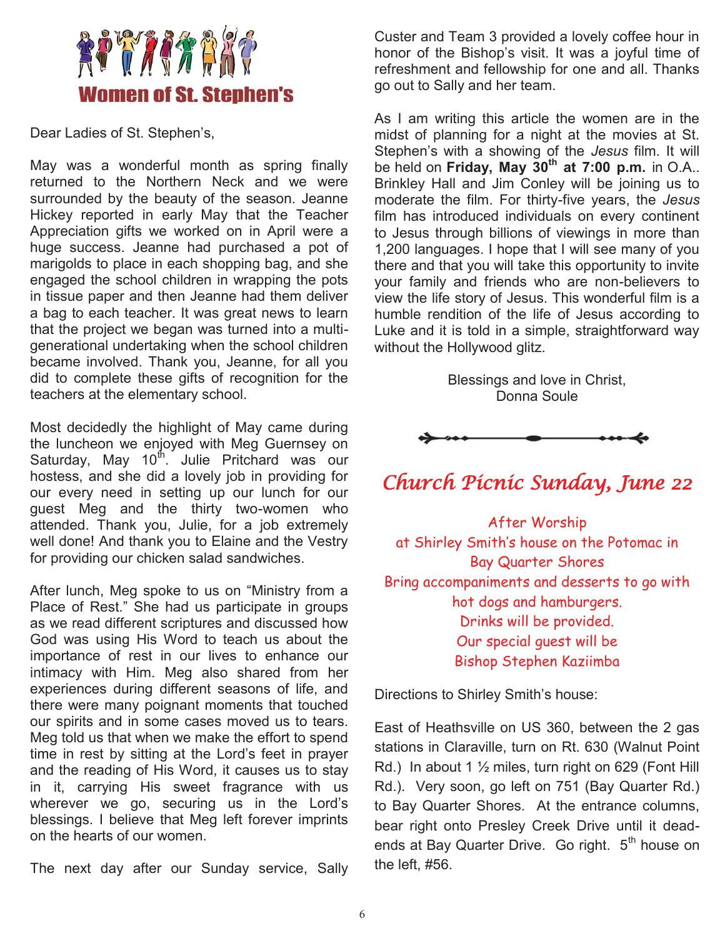

Dear Ladies of St. Stephen's,

May was a wonderful month as spring finally returned to the Northern Neck and we were surrounded by the beauty of the season. Jeanne Hickey reported in early May that the Teacher Appreciation gifts we worked on in April were a huge success. Jeanne had purchased a pot of marigolds to place in each shopping bag, and she engaged the school children in wrapping the pots in tissue paper and then Jeanne had them deliver a bag to each teacher. It was great news to learn that the project we began was turned into a multigenerational undertaking when the school children became involved. Thank you, Jeanne, for all you did to complete these gifts of recognition for the teachers at the elementary school.

Most decidedly the highlight of May came during the luncheon we enjoyed with Meg Guernsey on Saturday, May  $10^{th}$ . Julie Pritchard was our hostess, and she did a lovely job in providing for our every need in setting up our lunch for our guest Meg and the thirty two-women who attended. Thank you, Julie, for a job extremely well done! And thank you to Elaine and the Vestry for providing our chicken salad sandwiches.

After lunch, Meg spoke to us on "Ministry from a Place of Rest." She had us participate in groups as we read different scriptures and discussed how God was using His Word to teach us about the importance of rest in our lives to enhance our intimacy with Him. Meg also shared from her experiences during different seasons of life, and there were many poignant moments that touched our spirits and in some cases moved us to tears. Meg told us that when we make the effort to spend time in rest by sitting at the Lord's feet in prayer and the reading of His Word, it causes us to stay in it, carrying His sweet fragrance with us wherever we go, securing us in the Lord's blessings. I believe that Meg left forever imprints on the hearts of our women.

The next day after our Sunday service, Sally

Custer and Team 3 provided a lovely coffee hour in honor of the Bishop's visit. It was a joyful time of refreshment and fellowship for one and all. Thanks go out to Sally and her team.

As I am writing this article the women are in the midst of planning for a night at the movies at St. Stephen's with a showing of the *Jesus* film. It will be held on **Friday, May 30th at 7:00 p.m.** in O.A.. Brinkley Hall and Jim Conley will be joining us to moderate the film. For thirty-five years, the *Jesus* film has introduced individuals on every continent to Jesus through billions of viewings in more than 1,200 languages. I hope that I will see many of you there and that you will take this opportunity to invite your family and friends who are non-believers to view the life story of Jesus. This wonderful film is a humble rendition of the life of Jesus according to Luke and it is told in a simple, straightforward way without the Hollywood glitz.

> Blessings and love in Christ, Donna Soule



## Church Picnic Sunday, June 22

After Worship at Shirley Smith's house on the Potomac in Bay Quarter Shores Bring accompaniments and desserts to go with hot dogs and hamburgers. Drinks will be provided. Our special guest will be Bishop Stephen Kaziimba

Directions to Shirley Smith's house:

East of Heathsville on US 360, between the 2 gas stations in Claraville, turn on Rt. 630 (Walnut Point Rd.) In about 1  $\frac{1}{2}$  miles, turn right on 629 (Font Hill Rd.). Very soon, go left on 751 (Bay Quarter Rd.) to Bay Quarter Shores. At the entrance columns, bear right onto Presley Creek Drive until it deadends at Bay Quarter Drive. Go right. 5<sup>th</sup> house on the left, #56.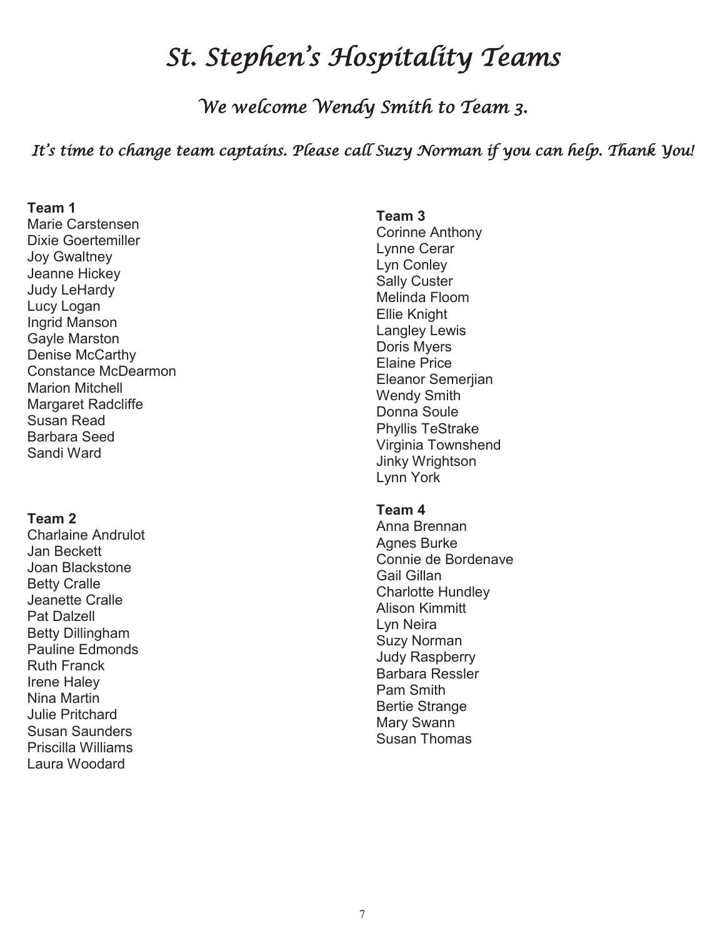# St. Stephen ' s Hospitality Teams

We welcome Wendy Smith to Team 3.

#### It's time to change team captains. Please call Suzy Norman if you can help. Thank You!

#### **Team 1**

Marie Carstensen Dixie Goertemiller Joy Gwaltney Jeanne Hickey Judy LeHardy Lucy Logan Ingrid Manson Gayle Marston Denise McCarthy Constance McDearmon Marion Mitchell Margaret Radcliffe Susan Read Barbara Seed Sandi Ward

#### **Team 2**

Charlaine Andrulot Jan Beckett Joan Blackstone Betty Cralle Jeanette Cralle Pat Dalzell Betty Dillingham Pauline Edmonds Ruth Franck Irene Haley Nina Martin Julie Pritchard Susan Saunders Priscilla Williams Laura Woodard

#### **Team 3**  Corinne Anthony Lynne Cerar Lyn Conley Sally Custer Melinda Floom Ellie Knight Langley Lewis Doris Myers Elaine Price Eleanor Semerjian Wendy Smith Donna Soule Phyllis TeStrake Virginia Townshend Jinky Wrightson Lynn York

#### **Team 4**

Anna Brennan Agnes Burke Connie de Bordenave Gail Gillan Charlotte Hundley Alison Kimmitt Lyn Neira Suzy Norman Judy Raspberry Barbara Ressler Pam Smith Bertie Strange Mary Swann Susan Thomas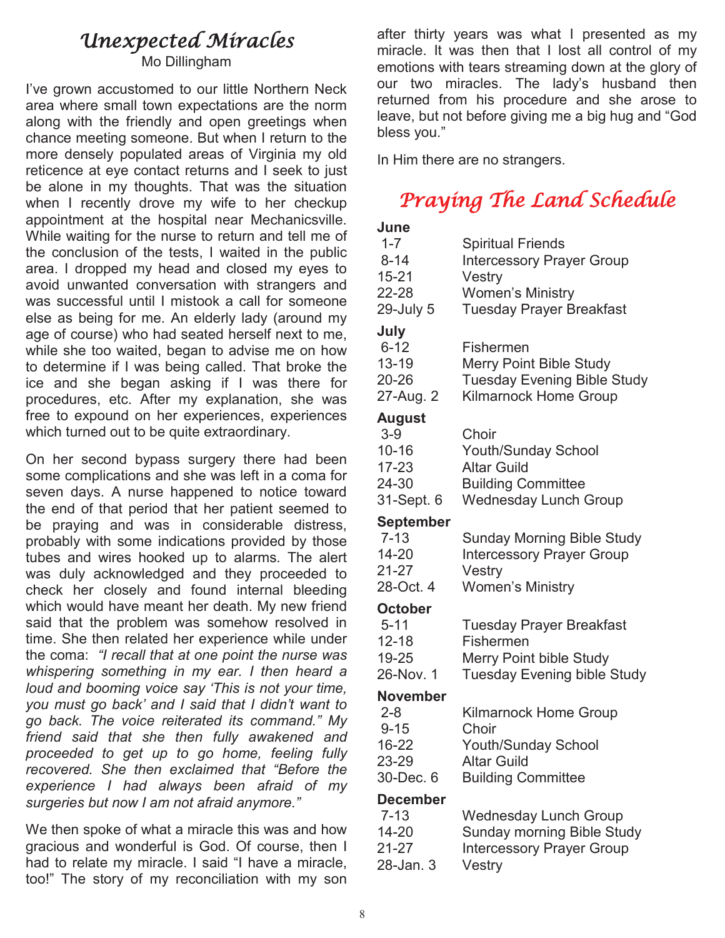### Unexpected Miracles

Mo Dillingham

I've grown accustomed to our little Northern Neck area where small town expectations are the norm along with the friendly and open greetings when chance meeting someone. But when I return to the more densely populated areas of Virginia my old reticence at eye contact returns and I seek to just be alone in my thoughts. That was the situation when I recently drove my wife to her checkup appointment at the hospital near Mechanicsville. While waiting for the nurse to return and tell me of the conclusion of the tests, I waited in the public area. I dropped my head and closed my eyes to avoid unwanted conversation with strangers and was successful until I mistook a call for someone else as being for me. An elderly lady (around my age of course) who had seated herself next to me, while she too waited, began to advise me on how to determine if I was being called. That broke the ice and she began asking if I was there for procedures, etc. After my explanation, she was free to expound on her experiences, experiences which turned out to be quite extraordinary.

On her second bypass surgery there had been some complications and she was left in a coma for seven days. A nurse happened to notice toward the end of that period that her patient seemed to be praying and was in considerable distress, probably with some indications provided by those tubes and wires hooked up to alarms. The alert was duly acknowledged and they proceeded to check her closely and found internal bleeding which would have meant her death. My new friend said that the problem was somehow resolved in time. She then related her experience while under the coma: *"I recall that at one point the nurse was whispering something in my ear. I then heard a loud and booming voice say 'This is not your time, you must go back' and I said that I didn't want to go back. The voice reiterated its command." My friend said that she then fully awakened and proceeded to get up to go home, feeling fully recovered. She then exclaimed that "Before the experience I had always been afraid of my surgeries but now I am not afraid anymore."* 

We then spoke of what a miracle this was and how gracious and wonderful is God. Of course, then I had to relate my miracle. I said "I have a miracle, too!" The story of my reconciliation with my son after thirty years was what I presented as my miracle. It was then that I lost all control of my emotions with tears streaming down at the glory of our two miracles. The lady's husband then returned from his procedure and she arose to leave, but not before giving me a big hug and "God bless you."

In Him there are no strangers.

# Praying The Land Schedule

| June             |                                    |  |  |  |
|------------------|------------------------------------|--|--|--|
| $1 - 7$          | <b>Spiritual Friends</b>           |  |  |  |
| $8 - 14$         | <b>Intercessory Prayer Group</b>   |  |  |  |
| $15 - 21$        | Vestry                             |  |  |  |
| 22-28            | <b>Women's Ministry</b>            |  |  |  |
| 29-July 5        | <b>Tuesday Prayer Breakfast</b>    |  |  |  |
| July             |                                    |  |  |  |
| $6 - 12$         | Fishermen                          |  |  |  |
| $13 - 19$        | <b>Merry Point Bible Study</b>     |  |  |  |
| 20-26            | <b>Tuesday Evening Bible Study</b> |  |  |  |
| 27-Aug. 2        | <b>Kilmarnock Home Group</b>       |  |  |  |
| <b>August</b>    |                                    |  |  |  |
| $3-9$            | Choir                              |  |  |  |
| $10 - 16$        | <b>Youth/Sunday School</b>         |  |  |  |
| $17 - 23$        | <b>Altar Guild</b>                 |  |  |  |
| 24-30            | <b>Building Committee</b>          |  |  |  |
| 31-Sept. 6       | <b>Wednesday Lunch Group</b>       |  |  |  |
| <b>September</b> |                                    |  |  |  |
| $7 - 13$         | <b>Sunday Morning Bible Study</b>  |  |  |  |
| 14-20            | <b>Intercessory Prayer Group</b>   |  |  |  |
| $21 - 27$        | Vestry                             |  |  |  |
| 28-Oct. 4        | <b>Women's Ministry</b>            |  |  |  |
|                  |                                    |  |  |  |
| <b>October</b>   |                                    |  |  |  |
| $5 - 11$         | <b>Tuesday Prayer Breakfast</b>    |  |  |  |
| $12 - 18$        | Fishermen                          |  |  |  |
| 19-25            | <b>Merry Point bible Study</b>     |  |  |  |
| 26-Nov. 1        | <b>Tuesday Evening bible Study</b> |  |  |  |
| <b>November</b>  |                                    |  |  |  |
| $2 - 8$          | <b>Kilmarnock Home Group</b>       |  |  |  |
| $9 - 15$         | Choir                              |  |  |  |
| 16-22            | <b>Youth/Sunday School</b>         |  |  |  |
| 23-29            | <b>Altar Guild</b>                 |  |  |  |
| 30-Dec. 6        | <b>Building Committee</b>          |  |  |  |
| <b>December</b>  |                                    |  |  |  |
| $7 - 13$         | <b>Wednesday Lunch Group</b>       |  |  |  |
| 14-20            | <b>Sunday morning Bible Study</b>  |  |  |  |
| 21-27            | <b>Intercessory Prayer Group</b>   |  |  |  |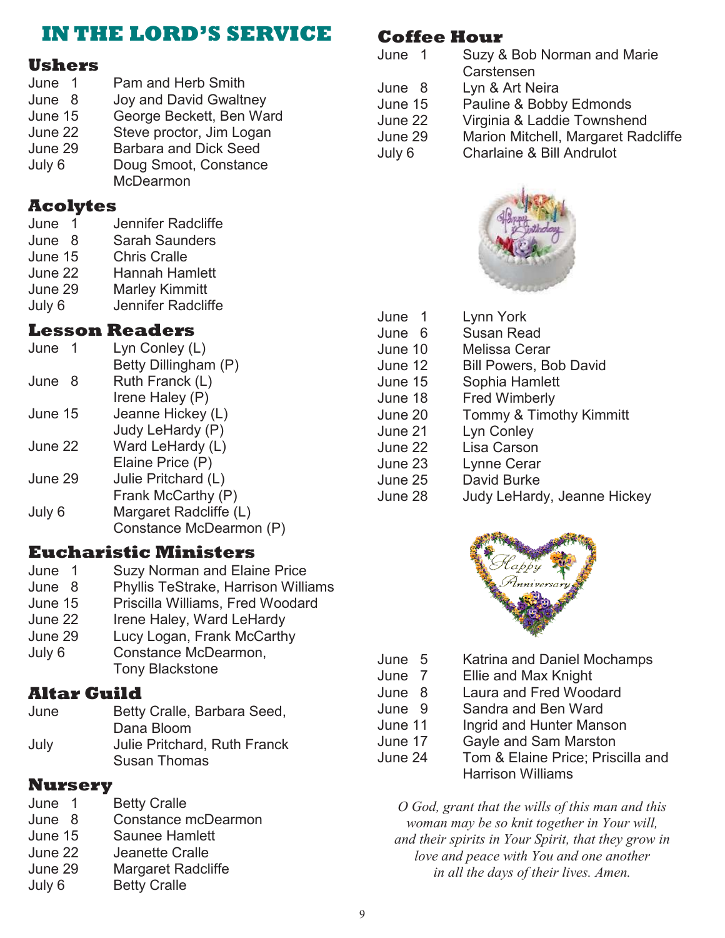### **IN THE LORD'S SERVICE**

### **Ushers**

June 1 Pam and Herb Smith<br>June 8 Jov and David Gwaltr Joy and David Gwaltney June 15 George Beckett, Ben Ward June 22 Steve proctor, Jim Logan June 29 Barbara and Dick Seed July 6 Doug Smoot, Constance McDearmon

### **Acolytes**

- June 1 Jennifer Radcliffe
- June 8 Sarah Saunders
- June 15 Chris Cralle
- June 22 Hannah Hamlett
- June 29 Marley Kimmitt
- July 6 Jennifer Radcliffe

### **Lesson Readers**

| June      | Lyn Conley (L)          |
|-----------|-------------------------|
|           | Betty Dillingham (P)    |
| June<br>8 | Ruth Franck (L)         |
|           | Irene Haley (P)         |
| June 15   | Jeanne Hickey (L)       |
|           | Judy LeHardy (P)        |
| June 22   | Ward LeHardy (L)        |
|           | Elaine Price (P)        |
| June 29   | Julie Pritchard (L)     |
|           | Frank McCarthy (P)      |
| July 6    | Margaret Radcliffe (L)  |
|           | Constance McDearmon (P) |

### **Eucharistic Ministers**

- June 1 Suzy Norman and Elaine Price
- June 8 Phyllis TeStrake, Harrison Williams
- June 15 Priscilla Williams, Fred Woodard
- June 22 Irene Haley, Ward LeHardy
- June 29 Lucy Logan, Frank McCarthy July 6 Constance McDearmon,
	- Tony Blackstone

### **Altar Guild**

June Betty Cralle, Barbara Seed, Dana Bloom July Julie Pritchard, Ruth Franck Susan Thomas

### **Nursery**

June 1 Betty Cralle<br>June 8 Constance r Constance mcDearmon June 15 Saunee Hamlett June 22 Jeanette Cralle June 29 Margaret Radcliffe July 6 Betty Cralle

### **Coffee Hour**

| June 1  | Suzy & Bob Norman and Marie<br>Carstensen |
|---------|-------------------------------------------|
| June 8  | Lyn & Art Neira                           |
| June 15 | Pauline & Bobby Edmonds                   |
| June 22 | Virginia & Laddie Townshend               |
| June 29 | Marion Mitchell, Margaret Radcliffe       |
| July 6  | <b>Charlaine &amp; Bill Andrulot</b>      |



| June 1  | Lynn York                     |
|---------|-------------------------------|
| June 6  | Susan Read                    |
| June 10 | Melissa Cerar                 |
| June 12 | <b>Bill Powers, Bob David</b> |
| June 15 | Sophia Hamlett                |
| June 18 | <b>Fred Wimberly</b>          |
| June 20 | Tommy & Timothy Kimmitt       |
| June 21 | Lyn Conley                    |
| June 22 | Lisa Carson                   |
| June 23 | Lynne Cerar                   |
| June 25 | David Burke                   |
| June 28 | Judy LeHardy, Jeanne Hickey   |
|         |                               |



- June 5 Katrina and Daniel Mochamps
- June 7 Ellie and Max Knight
- June 8 Laura and Fred Woodard<br>June 9 Sandra and Ben Ward
	- Sandra and Ben Ward
- June 11 Ingrid and Hunter Manson
- June 17 Gayle and Sam Marston
- June 24 Tom & Elaine Price; Priscilla and Harrison Williams

*O God, grant that the wills of this man and this woman may be so knit together in Your will, and their spirits in Your Spirit, that they grow in love and peace with You and one another in all the days of their lives. Amen.*